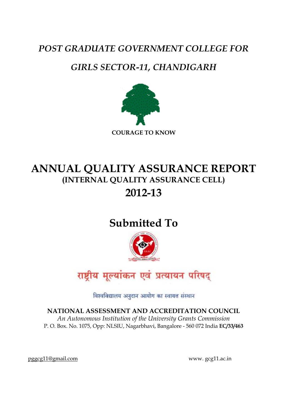# *POST GRADUATE GOVERNMENT COLLEGE FOR*

# *GIRLS SECTOR-11, CHANDIGARH*



# **ANNUAL QUALITY ASSURANCE REPORT (INTERNAL QUALITY ASSURANCE CELL) 2012-13**

# **Submitted To**





विश्वविद्यालय अनुदान आयोग का स्वायत्त संस्थान

**NATIONAL ASSESSMENT AND ACCREDITATION COUNCIL** *An Autonomous Institution of the University Grants Commission* P. O. Box. No. 1075, Opp: NLSIU, Nagarbhavi, Bangalore - 560 072 India **EC/33/463**

[pggcg11@gmail.com](mailto:pggcg11@gmail.com) www. gcg11.ac.in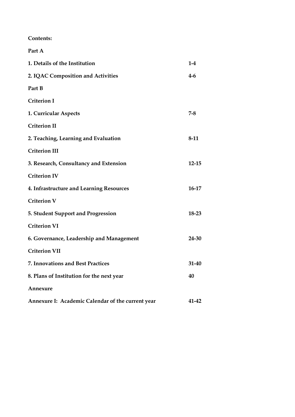**Contents:**

| Part A                                            |           |
|---------------------------------------------------|-----------|
| 1. Details of the Institution                     | $1-4$     |
| 2. IQAC Composition and Activities                | 4-6       |
| Part B                                            |           |
| <b>Criterion I</b>                                |           |
| 1. Curricular Aspects                             | $7-8$     |
| <b>Criterion II</b>                               |           |
| 2. Teaching, Learning and Evaluation              | $8-11$    |
| <b>Criterion III</b>                              |           |
| 3. Research, Consultancy and Extension            | $12 - 15$ |
| <b>Criterion IV</b>                               |           |
| 4. Infrastructure and Learning Resources          | 16-17     |
| <b>Criterion V</b>                                |           |
| 5. Student Support and Progression                | 18-23     |
| <b>Criterion VI</b>                               |           |
| 6. Governance, Leadership and Management          | 24-30     |
| <b>Criterion VII</b>                              |           |
| 7. Innovations and Best Practices                 | 31-40     |
| 8. Plans of Institution for the next year         | 40        |
| Annexure                                          |           |
| Annexure I: Academic Calendar of the current year | 41-42     |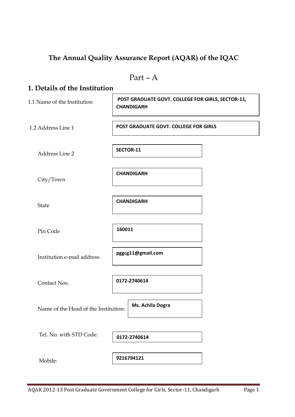### **The Annual Quality Assurance Report (AQAR) of the IQAC**

Part – A **1. Details of the Institution** 1.1 Name of the Institution 1.2 Address Line 1 Address Line 2 City/Town State Pin Code Institution e-mail address Contact Nos. Name of the Head of the Institution: Tel. No. with STD Code: Mobile: **0172-2740614 POST GRADUATE GOVT. COLLEGE FOR GIRLS, SECTOR-11, CHANDIGARH POST GRADUATE GOVT. COLLEGE FOR GIRLS SECTOR-11 CHANDIGARH CHANDIGARH 160011 pggcg11@gmail.com Ms. Achila Dogra 9216794121 0172-2740614**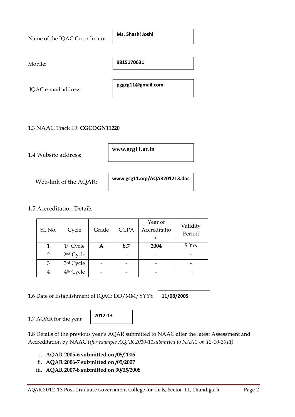| Name of the IQAC Co-ordinator: | Ms. Shashi Joshi  |
|--------------------------------|-------------------|
|                                |                   |
| Mobile:                        | 9815170631        |
|                                |                   |
| IQAC e-mail address:           | pggcg11@gmail.com |
|                                |                   |

#### 1.3 NAAC Track ID: **CGCOGN11220**

1.4 Website address:

**www.gcg11.ac.in**

Web-link of the AQAR:

**www.gcg11.org/AQAR201213.doc**

#### 1.5 Accreditation Details

| Sl. No. | Cycle                 | Grade | <b>CGPA</b> | Year of<br>Accreditatio<br>n | Validity<br>Period |
|---------|-----------------------|-------|-------------|------------------------------|--------------------|
|         | 1 <sup>st</sup> Cycle |       | 8.7         | 2004                         | 5 Yrs              |
| 2       | 2 <sup>nd</sup> Cycle |       |             |                              |                    |
| 3       | 3rd Cycle             |       |             |                              |                    |
|         | 4 <sup>th</sup> Cycle |       |             |                              |                    |

1.6 Date of Establishment of IQAC: DD/MM/YYYY

**11/08/2005**

1.7 AQAR for the year

**2012-13**

1.8 Details of the previous year's AQAR submitted to NAAC after the latest Assessment and Accreditation by NAAC (*(for example AQAR 2010-11submitted to NAAC on 12-10-2011)*

i. **AQAR 2005-6 submitted on /05/2006**

ii. **AQAR 2006-7 submitted on /05/2007**

iii. **AQAR 2007-8 submitted on 30/05/2008**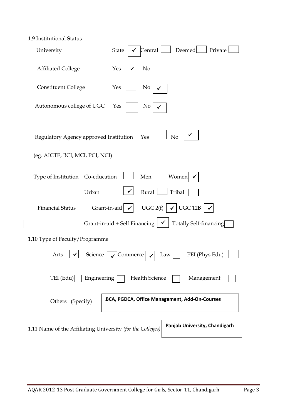| 1.9 Institutional Status |  |
|--------------------------|--|
|--------------------------|--|

| University                                                                    | Central   Deemed   Private<br>State                                                                                                                                                 |
|-------------------------------------------------------------------------------|-------------------------------------------------------------------------------------------------------------------------------------------------------------------------------------|
| <b>Affiliated College</b>                                                     | $\overline{N_0}$<br>Yes                                                                                                                                                             |
| <b>Constituent College</b>                                                    | Yes<br>No                                                                                                                                                                           |
| Autonomous college of UGC                                                     | No<br>Yes                                                                                                                                                                           |
| Regulatory Agency approved Institution Yes<br>(eg. AICTE, BCI, MCI, PCI, NCI) | No                                                                                                                                                                                  |
| Type of Institution Co-education<br>Urban                                     | Men<br>Women<br>Rural   Tribal                                                                                                                                                      |
| <b>Financial Status</b>                                                       | Grant-in-aid $\vert \checkmark \vert$ UGC 2(f) $\vert \checkmark \vert$ UGC 12B $\vert \checkmark$<br>Grant-in-aid + Self Financing $\vert \checkmark \vert$ Totally Self-financing |
| 1.10 Type of Faculty/Programme                                                |                                                                                                                                                                                     |
| Arts<br>Science                                                               | PEI (Phys Edu)<br>Commerce<br>Law                                                                                                                                                   |
| Engineering<br>TEI $(Edu)$                                                    | <b>Health Science</b><br>Management                                                                                                                                                 |
| Others (Specify)                                                              | BCA, PGDCA, Office Management, Add-On-Courses                                                                                                                                       |
| 1.11 Name of the Affiliating University (for the Colleges)                    | Panjab University, Chandigarh                                                                                                                                                       |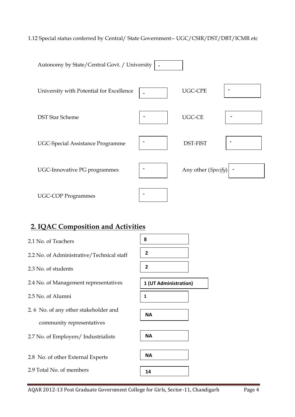#### 1.12 Special status conferred by Central/ State Government-- UGC/CSIR/DST/DBT/ICMR etc

| Autonomy by State/Central Govt. / University |                     |  |
|----------------------------------------------|---------------------|--|
| University with Potential for Excellence     | <b>UGC-CPE</b>      |  |
| <b>DST Star Scheme</b>                       | UGC-CE              |  |
| <b>UGC-Special Assistance Programme</b>      | <b>DST-FIST</b>     |  |
| UGC-Innovative PG programmes                 | Any other (Specify) |  |
| <b>UGC-COP Programmes</b>                    |                     |  |

### **2. IQAC Composition and Activities**

- 2.1 No. of Teachers
- 2.2 No. of Administrative/Technical staff
- 2.3 No. of students
- 2.4 No. of Management representatives
- 2.5 No. of Alumni
- 2. 6 No. of any other stakeholder and community representatives
- 2.7 No. of Employers/ Industrialists
- 2.8 No. of other External Experts
- 2.9 Total No. of members

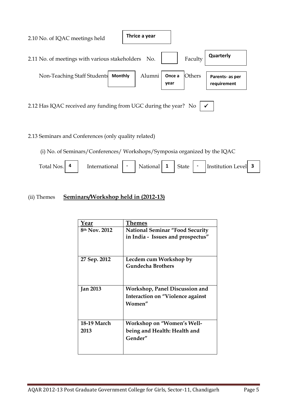

#### 2.13 Seminars and Conferences (only quality related)

(i) No. of Seminars/Conferences/ Workshops/Symposia organized by the IQAC

| Total<br><b>Noc</b> | International | $\overline{\phantom{a}}$ | ്റനാ∟ | - | $\sim$ $\sim$ $\sim$<br>itate | $\overline{\phantom{0}}$ | $\frac{1}{2}$ Institution $\frac{1}{2}$<br>evell |  |  |
|---------------------|---------------|--------------------------|-------|---|-------------------------------|--------------------------|--------------------------------------------------|--|--|
|---------------------|---------------|--------------------------|-------|---|-------------------------------|--------------------------|--------------------------------------------------|--|--|

#### (ii) Themes **Seminars/Workshop held in (2012-13)**

| Year            | Themes                                                                      |
|-----------------|-----------------------------------------------------------------------------|
| 8th Nov. 2012   | <b>National Seminar "Food Security</b><br>in India - Issues and prospectus" |
|                 |                                                                             |
| 27 Sep. 2012    | Lecdem cum Workshop by                                                      |
|                 | <b>Gundecha Brothers</b>                                                    |
| <b>Jan 2013</b> | Workshop, Panel Discussion and                                              |
|                 | Interaction on "Violence against                                            |
|                 | Women"                                                                      |
| 18-19 March     | <b>Workshop on "Women's Well-</b>                                           |
| 2013            | being and Health: Health and                                                |
|                 | Gender"                                                                     |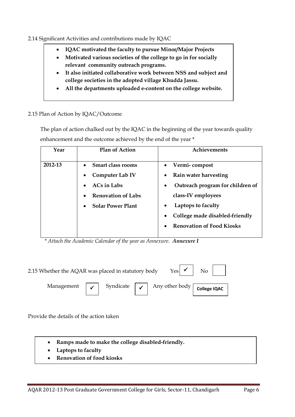#### 2.14 Significant Activities and contributions made by IQAC

- **IQAC motivated the faculty to pursue Minor/Major Projects**
- **Motivated various societies of the college to go in for socially relevant community outreach programs.**
- **It also initiated collaborative work between NSS and subject and college societies in the adopted village Khudda Jassu.**
- **All the departments uploaded e-content on the college website.**

#### 2.15 Plan of Action by IQAC/Outcome

 The plan of action chalked out by the IQAC in the beginning of the year towards quality enhancement and the outcome achieved by the end of the year \*

| Year    | <b>Plan of Action</b>                         | Achievements                           |
|---------|-----------------------------------------------|----------------------------------------|
| 2012-13 | • Smart class rooms<br><b>Computer Lab IV</b> | Vermi-compost<br>Rain water harvesting |
|         | $ACs$ in Labs                                 | Outreach program for children of       |
|         | <b>Renovation of Labs</b>                     | class-IV employees                     |
|         | <b>Solar Power Plant</b>                      | Laptops to faculty                     |
|         |                                               | College made disabled-friendly         |
|         |                                               | <b>Renovation of Food Kiosks</b>       |
|         |                                               |                                        |

 *\* Attach the Academic Calendar of the year as Annexure. Annexure I*

| $\gamma_{\rm es}$ $\checkmark$ $\gamma_{\rm no}$ $\checkmark$<br>2.15 Whether the AQAR was placed in statutory body |  |  |  |                                                                                                             |  |
|---------------------------------------------------------------------------------------------------------------------|--|--|--|-------------------------------------------------------------------------------------------------------------|--|
|                                                                                                                     |  |  |  | Management $\boxed{\checkmark}$ Syndicate $\boxed{\checkmark}$ Any other body $\boxed{\text{college IQAC}}$ |  |

Provide the details of the action taken

- **Ramps made to make the college disabled-friendly.**
- **Laptops to faculty**
- **Renovation of food kiosks**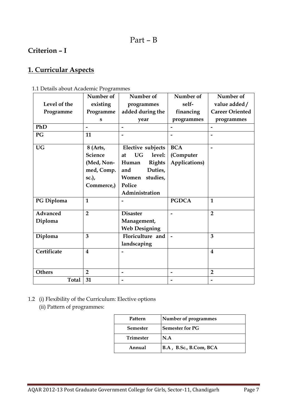### Part – B

### **Criterion – I**

### **1. Curricular Aspects**

|                 | Number of               | Number of                 | Number of     | Number of                |
|-----------------|-------------------------|---------------------------|---------------|--------------------------|
| Level of the    | existing                | programmes                | self-         | value added/             |
| Programme       | Programme               | added during the          | financing     | <b>Career Oriented</b>   |
|                 | s                       | year                      | programmes    | programmes               |
| PhD             |                         | -                         |               |                          |
| PG              | 11                      |                           |               |                          |
| <b>UG</b>       | 8 (Arts,                | Elective subjects         | <b>BCA</b>    |                          |
|                 | <b>Science</b>          | <b>UG</b><br>level:<br>at | (Computer     |                          |
|                 | (Med, Non-              | <b>Rights</b><br>Human    | Applications) |                          |
|                 | med, Comp.              | Duties,<br>and            |               |                          |
|                 | sc.),                   | Women<br>studies,         |               |                          |
|                 | Commerce,)              | Police                    |               |                          |
|                 |                         | Administration            |               |                          |
| PG Diploma      | $\mathbf{1}$            |                           | <b>PGDCA</b>  | $\mathbf{1}$             |
| <b>Advanced</b> | $\overline{2}$          | <b>Disaster</b>           |               | $\overline{2}$           |
| Diploma         |                         | Management,               |               |                          |
|                 |                         | <b>Web Designing</b>      |               |                          |
| Diploma         | 3                       | Floriculture and          |               | 3                        |
|                 |                         | landscaping               |               |                          |
| Certificate     | $\overline{\mathbf{4}}$ |                           |               | $\overline{\mathbf{4}}$  |
|                 |                         |                           |               |                          |
| <b>Others</b>   | $\overline{2}$          |                           |               | $\overline{2}$           |
| <b>Total</b>    | 31                      |                           |               | $\overline{\phantom{0}}$ |

1.1 Details about Academic Programmes

- 1.2 (i) Flexibility of the Curriculum: Elective options
	- (ii) Pattern of programmes:

| Pattern          | Number of programmes   |
|------------------|------------------------|
| <b>Semester</b>  | <b>Semester for PG</b> |
| <b>Trimester</b> | N.A                    |
| Annual           | B.A, B.Sc., B.Com, BCA |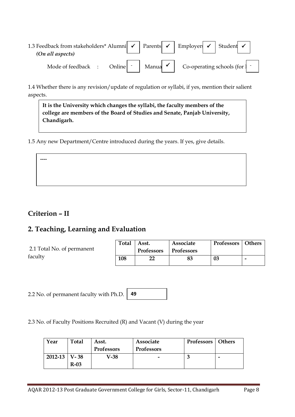1.3 Feedback from stakeholders\* Alumni  $\vert \checkmark \vert$  Parents  $\vert \checkmark \vert$  Employers  $\vert \checkmark \vert$  Student  *(On all aspects)* Mode of feedback : Online  $\vert \cdot \vert$  Manua  $\vert \cdot \vert$  Co-operating schools (for  $\vert \cdot \vert$ Employer

1.4 Whether there is any revision/update of regulation or syllabi, if yes, mention their salient aspects.

**It is the University which changes the syllabi, the faculty members of the college are members of the Board of Studies and Senate, Panjab University, Chandigarh.**

1.5 Any new Department/Centre introduced during the years. If yes, give details.

### **Criterion – II**

**----**

### **2. Teaching, Learning and Evaluation**

| 2.1 Total No. of permanent | <b>Total</b> | Asst.<br><b>Professors</b> | Associate<br>  Professors | Professors   Others |   |
|----------------------------|--------------|----------------------------|---------------------------|---------------------|---|
| faculty                    | 108          |                            |                           | 03                  | - |

2.2 No. of permanent faculty with Ph.D. **49**

2.3 No. of Faculty Positions Recruited (R) and Vacant (V) during the year

| Year        | <b>Total</b> | Asst.             | Associate                | Professors   Others |  |
|-------------|--------------|-------------------|--------------------------|---------------------|--|
|             |              | <b>Professors</b> | <b>Professors</b>        |                     |  |
| $2012 - 13$ | V-38         | V-38              | $\overline{\phantom{0}}$ |                     |  |
|             | $R-03$       |                   |                          |                     |  |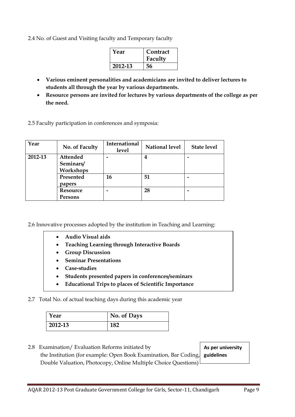2.4 No. of Guest and Visiting faculty and Temporary faculty

| Year    | Contract<br>Faculty |
|---------|---------------------|
| 2012-13 | 56                  |

- **Various eminent personalities and academicians are invited to deliver lectures to students all through the year by various departments.**
- **Resource persons are invited for lectures by various departments of the college as per the need.**

2.5 Faculty participation in conferences and symposia:

| Year    | No. of Faculty  | International<br><b>level</b> | <b>National level</b> | <b>State level</b> |
|---------|-----------------|-------------------------------|-----------------------|--------------------|
| 2012-13 | Attended        |                               |                       |                    |
|         | Seminars/       |                               |                       |                    |
|         | Workshops       |                               |                       |                    |
|         | Presented       | 16                            | 51                    |                    |
|         | papers          |                               |                       |                    |
|         | <b>Resource</b> |                               | 28                    |                    |
|         | Persons         |                               |                       |                    |

2.6 Innovative processes adopted by the institution in Teaching and Learning:

- **Audio Visual aids**
- **Teaching Learning through Interactive Boards**
- **Group Discussion**
- **Seminar Presentations**
- **Case-studies**
- **Students presented papers in conferences/seminars**
- **Educational Trips to places of Scientific Importance**

2.7 Total No. of actual teaching days during this academic year

| Year    | No. of Days |
|---------|-------------|
| 2012-13 | 182         |

2.8 Examination/ Evaluation Reforms initiated by the Institution (for example: Open Book Examination, Bar Coding, **quidelines** Double Valuation, Photocopy, Online Multiple Choice Questions)

**As per university**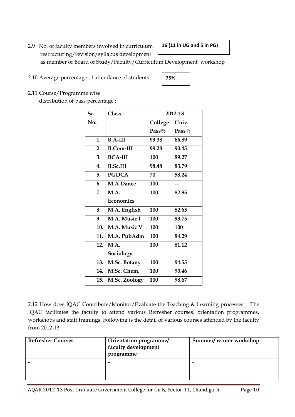2.9 No. of faculty members involved in curriculum restructuring/revision/syllabus development

#### **16 (11 in UG and 5 in PG)**

as member of Board of Study/Faculty/Curriculum Development workshop

2.10 Average percentage of attendance of students

### **75%**

2.11 Course/Programme wise

distribution of pass percentage :

| Sr. | Class            |          | 2012-13 |
|-----|------------------|----------|---------|
| No. |                  | College  | Univ.   |
|     |                  | $Pass\%$ | Pass%   |
| 1.  | $B.A-III$        | 99.38    | 66.89   |
| 2.  | <b>B.Com-III</b> | 99.28    | 90.45   |
| 3.  | <b>BCA-III</b>   | 100      | 89.27   |
| 4.  | <b>B.Sc.III</b>  | 98.48    | 83.79   |
| 5.  | <b>PGDCA</b>     | 70       | 58.24   |
| 6.  | <b>M.A Dance</b> | 100      |         |
| 7.  | M.A.             | 100      | 82.85   |
|     | Economics        |          |         |
| 8.  | M.A. English     | 100      | 82.65   |
| 9.  | M.A. Music I     | 100      | 93.75   |
| 10. | M.A. Music V     | 100      | 100     |
| 11. | M.A. PubAdm      | 100      | 84.29   |
| 12. | M.A.             | 100      | 81.12   |
|     | Sociology        |          |         |
| 13. | M.Sc. Botany     | 100      | 94.55   |
| 14. | M.Sc. Chem.      | 100      | 93.46   |
| 15. | M.Sc. Zoology    | 100      | 98.67   |

2.12 How does IQAC Contribute/Monitor/Evaluate the Teaching & Learning processes : The IQAC facilitates the faculty to attend various Refresher courses, orientation programmes, workshops and staff trainings. Following is the detail of various courses attended by the faculty from 2012-13

| <b>Refresher Courses</b> | Orientation programme/<br>faculty development<br>programme | Summer/winter workshop |  |
|--------------------------|------------------------------------------------------------|------------------------|--|
|                          | -                                                          | -                      |  |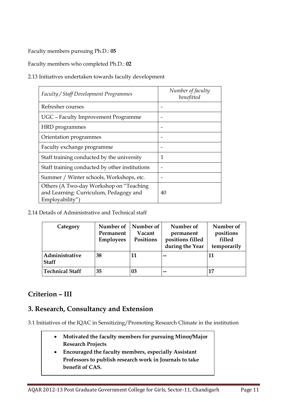Faculty members pursuing Ph.D.: **05**

Faculty members who completed Ph.D.: **02**

2.13 Initiatives undertaken towards faculty development

| Faculty / Staff Development Programmes                                                                | Number of faculty<br>benefitted |
|-------------------------------------------------------------------------------------------------------|---------------------------------|
| Refresher courses                                                                                     |                                 |
| UGC - Faculty Improvement Programme                                                                   |                                 |
| HRD programmes                                                                                        |                                 |
| Orientation programmes                                                                                |                                 |
| Faculty exchange programme                                                                            |                                 |
| Staff training conducted by the university                                                            | 1                               |
| Staff training conducted by other institutions                                                        |                                 |
| Summer / Winter schools, Workshops, etc.                                                              |                                 |
| Others (A Two-day Workshop on "Teaching"<br>and Learning: Curriculum, Pedagogy and<br>Employability") | 40                              |

2.14 Details of Administrative and Technical staff

| Category                       | Number of<br>Permanent<br><b>Employees</b> | Number of<br>Vacant<br>Positions | Number of<br>permanent<br>positions filled<br>during the Year | Number of<br>positions<br>filled<br>temporarily |
|--------------------------------|--------------------------------------------|----------------------------------|---------------------------------------------------------------|-------------------------------------------------|
| Administrative<br><b>Staff</b> | 38                                         | 11                               | --                                                            | 11                                              |
| <b>Technical Staff</b>         | 35                                         | 03                               | --                                                            | 17                                              |

### **Criterion – III**

### **3. Research, Consultancy and Extension**

3.1 Initiatives of the IQAC in Sensitizing/Promoting Research Climate in the institution

- **Motivated the faculty members for pursuing Minor/Major Research Projects**
- **Encouraged the faculty members, especially Assistant Professors to publish research work in Journals to take benefit of CAS.**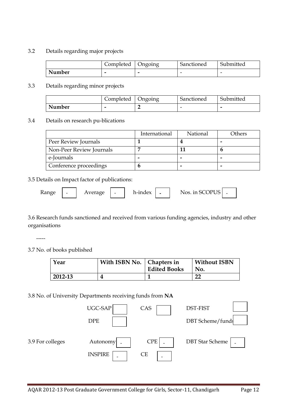#### 3.2 Details regarding major projects

|        | Completed | Ungoing | Sanctioned | Submitted |
|--------|-----------|---------|------------|-----------|
| Number | -         | -       | -          | -         |

#### 3.3 Details regarding minor projects

|        | Completed | <b>Ungoing</b> | Sanctioned | Submitted |
|--------|-----------|----------------|------------|-----------|
| Number | -         |                |            |           |

#### 3.4 Details on research pu-blications

|                          | International | National | Others |
|--------------------------|---------------|----------|--------|
| Peer Review Journals     |               |          |        |
| Non-Peer Review Journals |               |          |        |
| e-Journals               |               |          |        |
| Conference proceedings   |               |          |        |

#### 3.5 Details on Impact factor of publications:

| <b>Kange</b><br>verage<br>∸<br>$\overline{\phantom{0}}$<br>$\overline{\phantom{a}}$ | h-indey<br>- | Nos in SCOPUS | $\overline{\phantom{a}}$ |  |
|-------------------------------------------------------------------------------------|--------------|---------------|--------------------------|--|
|-------------------------------------------------------------------------------------|--------------|---------------|--------------------------|--|

3.6 Research funds sanctioned and received from various funding agencies, industry and other organisations

3.7 No. of books published

-----

| Year    | With ISBN No.   Chapters in | <b>Edited Books</b> | <b>Without ISBN</b><br>No. |
|---------|-----------------------------|---------------------|----------------------------|
| 2012-13 |                             |                     | n.                         |

#### 3.8 No. of University Departments receiving funds from **NA**

|                  | UGC-SAP        | CAS        | DST-FIST               |
|------------------|----------------|------------|------------------------|
|                  | <b>DPE</b>     |            | DBT Scheme/funds       |
| 3.9 For colleges | Autonomy       | <b>CPE</b> | <b>DBT</b> Star Scheme |
|                  | <b>INSPIRE</b> | <b>CE</b>  |                        |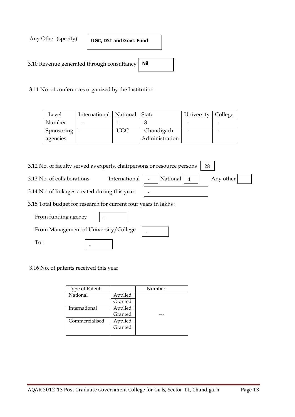Any Other (specify)

**UGC, DST and Govt. Fund**

3.10 Revenue generated through consultancy **Nil**

3.11 No. of conferences organized by the Institution

| Level          | International   National   State |            |                | University   College |  |
|----------------|----------------------------------|------------|----------------|----------------------|--|
| Number         |                                  |            |                |                      |  |
| Sponsoring   - |                                  | <b>UGC</b> | Chandigarh     |                      |  |
| agencies       |                                  |            | Administration |                      |  |

-

-

#### 3.12 No. of faculty served as experts, chairpersons or resource persons 28

3.13 No. of collaborations International  $\vert$ .

| National $\vert$ 1 | Any other |  |
|--------------------|-----------|--|
|                    |           |  |
|                    |           |  |

- 3.14 No. of linkages created during this year
- 3.15 Total budget for research for current four years in lakhs :
	- From funding agency -

From Management of University/College

-

Tot

3.16 No. of patents received this year

| Type of Patent |         | Number |
|----------------|---------|--------|
| National       | Applied |        |
|                | Granted |        |
| International  | Applied |        |
|                | Granted |        |
| Commercialised | Applied |        |
|                | Granted |        |
|                |         |        |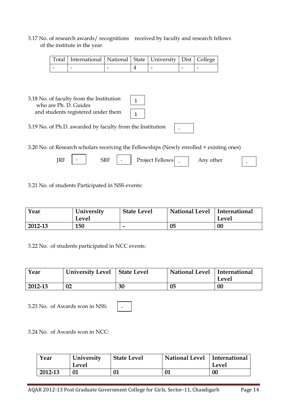#### 3.17 No. of research awards/ recognitions received by faculty and research fellows of the institute in the year

| Total   International   National   State   University   Dist   College |  |  |  |
|------------------------------------------------------------------------|--|--|--|
|                                                                        |  |  |  |

| 3.18 No. of faculty from the Institution |  |
|------------------------------------------|--|
| who are Ph. D. Guides                    |  |
| and students registered under them       |  |

3.19 No. of Ph.D. awarded by faculty from the Institution -

3.20 No. of Research scholars receiving the Fellowships (Newly enrolled + existing ones)

| KF | ЭKІ |  | <b>Fellows</b><br>Project<br>$\overline{\phantom{a}}$ | other<br>. |  |  |
|----|-----|--|-------------------------------------------------------|------------|--|--|
|----|-----|--|-------------------------------------------------------|------------|--|--|

3.21 No. of students Participated in NSS events:

 $\overline{\phantom{a}}$ 

| Year    | University<br>Level | <b>State Level</b> | <b>National Level</b> | International<br>Level |
|---------|---------------------|--------------------|-----------------------|------------------------|
| 2012-13 | 150                 | -                  | 05                    | $00\,$                 |

3.22 No. of students participated in NCC events:

| Year    | <b>University Level</b> | State Level | National Level   International | Level  |
|---------|-------------------------|-------------|--------------------------------|--------|
| 2012-13 | 02                      | 30          | 05                             | $00\,$ |

3.23 No. of Awards won in NSS:

-

3.24 No. of Awards won in NCC:

| Year    | University<br>Level | <b>State Level</b> | <b>National Level</b> | International<br>Level |
|---------|---------------------|--------------------|-----------------------|------------------------|
| 2012-13 |                     |                    | 01                    | $00\,$                 |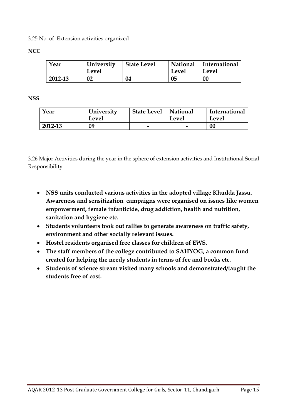3.25 No. of Extension activities organized

#### **NCC**

| Year    | University<br>Level | <b>State Level</b> | National<br>Level | International<br>Level |
|---------|---------------------|--------------------|-------------------|------------------------|
| 2012-13 | 02                  | 04                 | 05                | 00                     |

**NSS**

| Year    | University<br>Level | <b>State Level</b> | National<br>Level        | International<br>Level |
|---------|---------------------|--------------------|--------------------------|------------------------|
| 2012-13 | 09                  | -                  | $\overline{\phantom{0}}$ | 00                     |

3.26 Major Activities during the year in the sphere of extension activities and Institutional Social Responsibility

- **NSS units conducted various activities in the adopted village Khudda Jassu. Awareness and sensitization campaigns were organised on issues like women empowerment, female infanticide, drug addiction, health and nutrition, sanitation and hygiene etc.**
- **Students volunteers took out rallies to generate awareness on traffic safety, environment and other socially relevant issues.**
- **Hostel residents organised free classes for children of EWS.**
- **The staff members of the college contributed to SAHYOG, a common fund created for helping the needy students in terms of fee and books etc.**
- **Students of science stream visited many schools and demonstrated/taught the students free of cost.**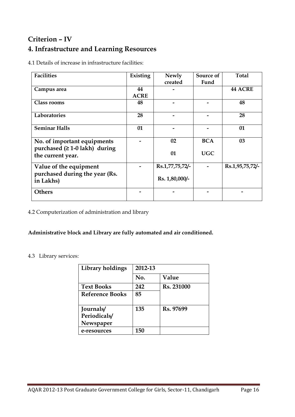## **Criterion – IV 4. Infrastructure and Learning Resources**

4.1 Details of increase in infrastructure facilities:

| <b>Facilities</b>                                    | Existing    | Newly           | Source of  | <b>Total</b>    |
|------------------------------------------------------|-------------|-----------------|------------|-----------------|
|                                                      |             | created         | Fund       |                 |
| Campus area                                          | 44          |                 |            | <b>44 ACRE</b>  |
|                                                      | <b>ACRE</b> |                 |            |                 |
| <b>Class rooms</b>                                   | 48          |                 |            | 48              |
| <b>Laboratories</b>                                  | 28          |                 |            | 28              |
| <b>Seminar Halls</b>                                 | 01          |                 |            | 01              |
| No. of important equipments                          |             | 02              | <b>BCA</b> | 03              |
| purchased $(≥ 1-0$ lakh) during<br>the current year. |             | 01              | UGC        |                 |
| Value of the equipment                               |             | Rs.1,77,75,72/- |            | Rs.1,95,75,72/- |
| purchased during the year (Rs.<br>in Lakhs)          |             | Rs. 1,80,000/-  |            |                 |
| <b>Others</b>                                        |             |                 |            |                 |

4.2 Computerization of administration and library

#### **Administrative block and Library are fully automated and air conditioned.**

#### 4.3 Library services:

| Library holdings       | 2012-13 |            |  |  |
|------------------------|---------|------------|--|--|
|                        | No.     | Value      |  |  |
| <b>Text Books</b>      | 242     | Rs. 231000 |  |  |
| <b>Reference Books</b> | 85      |            |  |  |
| Journals/              | 135     | Rs. 97699  |  |  |
| Periodicals/           |         |            |  |  |
| Newspaper              |         |            |  |  |
| e-resources            | 150     |            |  |  |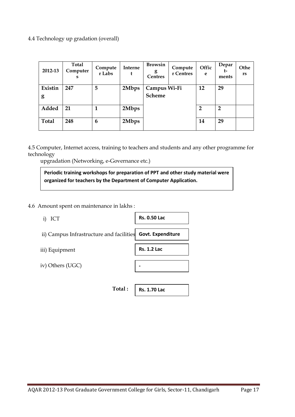4.4 Technology up gradation (overall)

| 2012-13      | <b>Total</b><br>Computer<br>s | Compute<br>r Labs | Interne<br>t | <b>Browsin</b><br>g<br><b>Centres</b> | Compute<br>r Centres | Offic<br>e     | Depar<br>t-<br>ments | Othe<br><b>rs</b> |
|--------------|-------------------------------|-------------------|--------------|---------------------------------------|----------------------|----------------|----------------------|-------------------|
| Existin      | 247                           | 5                 | 2Mbps        | Campus Wi-Fi                          |                      | 12             | 29                   |                   |
| g            |                               |                   |              | <b>Scheme</b>                         |                      |                |                      |                   |
| Added        | 21                            |                   | 2Mbps        |                                       |                      | $\overline{2}$ | $\overline{2}$       |                   |
| <b>Total</b> | 248                           | 6                 | 2Mbps        |                                       |                      | 14             | 29                   |                   |

4.5 Computer, Internet access, training to teachers and students and any other programme for technology

upgradation (Networking, e-Governance etc.)

**Periodic training workshops for preparation of PPT and other study material were organized for teachers by the Department of Computer Application.**

4.6 Amount spent on maintenance in lakhs :

| ICT<br>$\mathbf{i}$                                        | <b>Rs. 0.50 Lac</b> |
|------------------------------------------------------------|---------------------|
| ii) Campus Infrastructure and facilities Govt. Expenditure |                     |
| iii) Equipment                                             | <b>Rs. 1.2 Lac</b>  |
| iv) Others (UGC)                                           |                     |
|                                                            |                     |
| Total:                                                     | <b>Rs. 1.70 Lac</b> |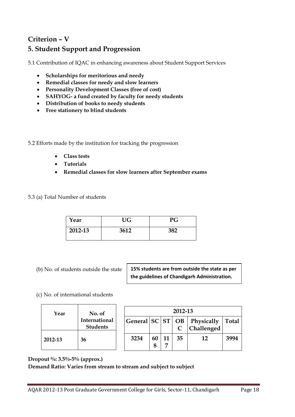### **Criterion – V 5. Student Support and Progression**

5.1 Contribution of IQAC in enhancing awareness about Student Support Services

- **Scholarships for meritorious and needy**
- **Remedial classes for needy and slow learners**
- **Personality Development Classes (free of cost)**
- **SAHYOG- a fund created by faculty for needy students**
- **Distribution of books to needy students**
- **Free stationery to blind students**

5.2 Efforts made by the institution for tracking the progression

- **Class tests**
- **Tutorials**
- **Remedial classes for slow learners after September exams**

5.3 (a) Total Number of students

| Year    | UG   | PG  |
|---------|------|-----|
| 2012-13 | 3612 | 382 |

(b) No. of students outside the state

**15% students are from outside the state as per the guidelines of Chandigarh Administration.**

#### (c) No. of international students

| Year    | No. of                           | 2012-13 |         |                      |    |                                                   |              |  |  |
|---------|----------------------------------|---------|---------|----------------------|----|---------------------------------------------------|--------------|--|--|
|         | International<br><b>Students</b> |         |         |                      |    | General   SC   ST   OB   Physically<br>Challenged | <b>Total</b> |  |  |
| 2012-13 | 36                               | 3234    | 60<br>8 | 11<br>$\overline{ }$ | 35 | 12                                                | 3994         |  |  |

**Dropout %: 3.5%-5% (approx.)** 

#### **Demand Ratio: Varies from stream to stream and subject to subject**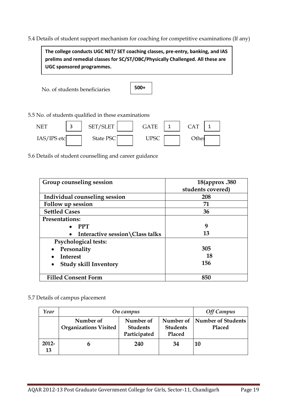5.4 Details of student support mechanism for coaching for competitive examinations (If any)

 No. of students beneficiaries 5.5 No. of students qualified in these examinations NET | 3 | SET/SLET | | GATE | 1 | CAT | 1  $IAS/IPS etc$  State PSC UPSC UPSC Other **The college conducts UGC NET/ SET coaching classes, pre-entry, banking, and IAS prelims and remedial classes for SC/ST/OBC/Physically Challenged. All these are UGC sponsored programmes. 500+**

5.6 Details of student counselling and career guidance

| Group counseling session                  | 18(approx .380)<br>students covered) |  |  |  |
|-------------------------------------------|--------------------------------------|--|--|--|
| Individual counseling session             | 208                                  |  |  |  |
| Follow up session                         | 71                                   |  |  |  |
| <b>Settled Cases</b>                      | 36                                   |  |  |  |
| <b>Presentations:</b>                     |                                      |  |  |  |
| <b>PPT</b>                                | 9                                    |  |  |  |
| Interactive session \Class talks          | 13                                   |  |  |  |
| <b>Psychological tests:</b>               |                                      |  |  |  |
| Personality                               | 305                                  |  |  |  |
| Interest                                  | 18                                   |  |  |  |
| <b>Study skill Inventory</b><br>$\bullet$ | 156                                  |  |  |  |
| <b>Filled Consent Form</b>                | 850                                  |  |  |  |

#### 5.7 Details of campus placement

| Year           | On campus                                 | <b>Off Campus</b>                            |                                        |                              |
|----------------|-------------------------------------------|----------------------------------------------|----------------------------------------|------------------------------|
|                | Number of<br><b>Organizations Visited</b> | Number of<br><b>Students</b><br>Participated | Number of<br><b>Students</b><br>Placed | Number of Students<br>Placed |
| $2012 -$<br>13 | n                                         | 240                                          | 34                                     | -10                          |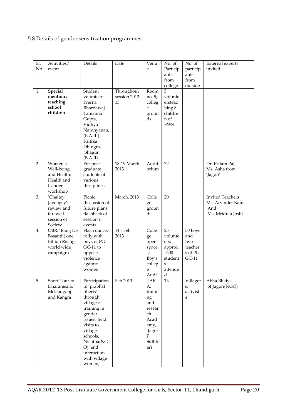### 5.8 Details of gender sensitization programmes

| Sr.<br>No | Activities/<br>event                                                               | Details                                                                                                                                                                                                        | Date                              | Venu<br>e                                                                                               | No. of<br>Particip<br>ants<br>from<br>college                            | No. of<br>particip<br>ants<br>from<br>outside           | <b>External experts</b><br>invited                                       |
|-----------|------------------------------------------------------------------------------------|----------------------------------------------------------------------------------------------------------------------------------------------------------------------------------------------------------------|-----------------------------------|---------------------------------------------------------------------------------------------------------|--------------------------------------------------------------------------|---------------------------------------------------------|--------------------------------------------------------------------------|
| 1.        | Special<br>mention:<br>teaching<br>school<br>children                              | Student<br>volunteers<br>Prerna<br>Bhardawaj,<br>Tamanna<br>Gupta,<br>Vidhya<br>Naranyanan,<br>(B.A.III)<br>Kritika<br>Dhingra,<br>Shagun<br>(B.A.II)                                                          | Throughout<br>session 2012-<br>13 | Room<br>no. 9;<br>colleg<br>e<br>groun<br>ds                                                            | 5<br>volunte<br>ersteac<br>hing 8<br>childre<br>n of<br><b>EWS</b>       |                                                         |                                                                          |
| 2.        | Women's<br>Well-being<br>and Health:<br>Health and<br>Gender<br>workshop           | For post-<br>graduate<br>students of<br>various<br>disciplines                                                                                                                                                 | 18-19 March<br>2013               | Audit<br>orium                                                                                          | 72                                                                       |                                                         | Dr. Pritam Pal,<br>Ms. Asha from<br>'Jagori'                             |
| 3.        | 'Chaltey<br>Jayengey':<br>review and<br>farewell<br>session of<br>Society          | Picnic;<br>discussion of<br>future plans;<br>flashback of<br>session's<br>events                                                                                                                               | <b>March</b> , 2013               | Colle<br>ge<br>groun<br>ds                                                                              | 20                                                                       |                                                         | <b>Invited Teachers</b><br>Ms. Arvinder Kaur<br>And<br>Ms. Mridula Joshi |
| 4.        | OBR: 'Rang De<br>Basanti'(one<br><b>Billion Rising-</b><br>world wide<br>campaign) | Flash dance,<br>rally with<br>boys of PG-<br>$GC-11$ to<br>oppose<br>violence<br>against<br>women                                                                                                              | 14th Feb.<br>2013                 | Colle<br>ge<br>open<br>space<br>s;<br>Boy's<br>colleg<br>e<br>Audi                                      | 25<br>volunte<br>ers;<br>approx.<br>.500<br>student<br>S<br>attende<br>d | 50 boys<br>and<br>two<br>teacher<br>s of PG-<br>$GC-11$ |                                                                          |
| 5.        | Short Tour to<br>Dharamsala,<br>Mcleodganj<br>and Kangra                           | Participation<br>in 'prabhat<br>pheris'<br>through<br>villages;<br>training in<br>gender<br>issues; field<br>visits to<br>village<br>schools,<br>Nishtha(NG<br>O) and<br>interaction<br>with village<br>women; | Feb 2013                          | <b>TAR</b><br>А:<br>traini<br>ng<br>and<br>resear<br>ch<br>Acad<br>emy,<br>'Jagor<br>i'<br>Sidhb<br>ari | 13                                                                       | s;<br>activist<br>S                                     | Villager   Abha Bhaiya<br>of Jagori(NGO)                                 |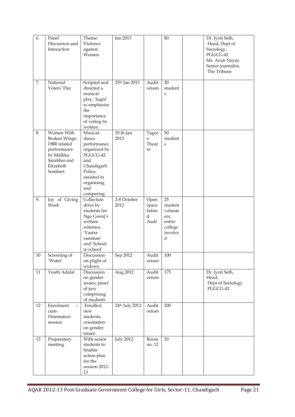| 6.<br>7. | Panel<br>Discussion and<br>Interaction<br>National                                                                     | Theme:<br>Violence<br>against<br>Women<br>Scripted and                                                                                        | Jan 2013<br>25 <sup>th</sup> Jan 2013 | Audit                               | 80<br>20                                                              | Dr. Jyoti Seth,<br>Head, Dept of<br>Sociology,<br>PGGCG-42<br>Ms. Aruti Nayar,<br>Senior journalist,<br>The Tribune |
|----------|------------------------------------------------------------------------------------------------------------------------|-----------------------------------------------------------------------------------------------------------------------------------------------|---------------------------------------|-------------------------------------|-----------------------------------------------------------------------|---------------------------------------------------------------------------------------------------------------------|
|          | Voters' Day                                                                                                            | directed a<br>musical<br>play, 'Jugni'<br>to emphasise<br>the<br>importance<br>of voting by<br>women                                          |                                       | orium                               | student<br>S                                                          |                                                                                                                     |
| 8.       | Women With<br><b>Broken Wings:</b><br>OBR related<br>performance<br>by Mallika<br>Sarabhai and<br>Elizabeth<br>Sombart | Musical-<br>dance<br>performance<br>organized by<br>PGGCG-42<br>and<br>Chandigarh<br>Police;<br>assisted in<br>organising<br>and<br>compering | 10 th Jan<br>2013                     | Tagor<br>e<br>Theat<br>re           | 50<br>student<br>S                                                    |                                                                                                                     |
| 9.       | Joy of Giving<br>Week                                                                                                  | Collection<br>drive by<br>students for<br>Ngo Goonj's<br>welfare<br>schemes,<br>'Vastra<br>samman'<br>and 'School<br>to school'               | 2-8 October<br>2012                   | Open<br>space<br>behin<br>d<br>Audi | 25<br>student<br>volunte<br>ers;<br>entire<br>college<br>involve<br>d |                                                                                                                     |
| 10       | Screening of<br>$^\prime\rm Water'$                                                                                    | Discussion<br>on plight of<br>widows                                                                                                          | Sep 2012                              | Audit<br>orium                      | 100                                                                   |                                                                                                                     |
| 11       | Youth Adalat                                                                                                           | Discussion<br>on gender<br>issues; panel<br>of jury<br>comprising<br>of students                                                              | Aug 2012                              | Audit<br>orium                      | 175                                                                   | Dr. Jyoti Seth,<br>Head,<br>Dept of Sociology<br>PGGCG-42                                                           |
| 12       | Enrolment<br>$\overline{\phantom{0}}$<br>cum-<br>Orientation<br>session                                                | Enrolled<br>new<br>students;<br>orientation<br>on gender<br>issues                                                                            | 24th July 2012                        | Audit<br>orium                      | 200                                                                   |                                                                                                                     |
| 13       | Preparatory<br>meeting                                                                                                 | With senior<br>students to<br>finalise<br>action plan<br>for the<br>session 2012-<br>13                                                       | <b>July 2012</b>                      | Room<br>no. 12                      | 20                                                                    |                                                                                                                     |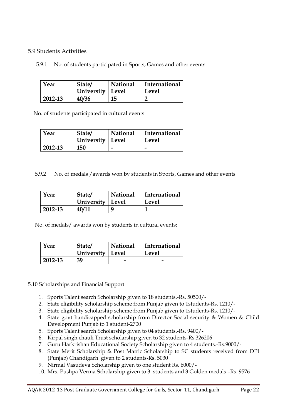#### 5.9 Students Activities

5.9.1 No. of students participated in Sports, Games and other events

| Year    | State/<br>University   Level | National | International<br>Level |
|---------|------------------------------|----------|------------------------|
| 2012-13 | 40/36                        | 15       |                        |

No. of students participated in cultural events

| Year    | State/<br>  University   Level | National | International<br>Level |
|---------|--------------------------------|----------|------------------------|
| 2012-13 | 150                            |          |                        |

5.9.2 No. of medals /awards won by students in Sports, Games and other events

| Year    | State/<br>University   Level | National | International<br>Level |
|---------|------------------------------|----------|------------------------|
| 2012-13 | 40/11                        | Q        |                        |

No. of medals/ awards won by students in cultural events:

| Year    | State/<br>University   Level | National | International<br>Level |
|---------|------------------------------|----------|------------------------|
| 2012-13 | 39                           |          |                        |

5.10 Scholarships and Financial Support

- 1. Sports Talent search Scholarship given to 18 students.-Rs. 50500/-
- 2. State eligibility scholarship scheme from Punjab given to 1students-Rs. 1210/-
- 3. State eligibility scholarship scheme from Punjab given to 1students-Rs. 1210/-
- 4. State govt handicapped scholarship from Director Social security & Women & Child Development Punjab to 1 student-2700
- 5. Sports Talent search Scholarship given to 04 students.-Rs. 9400/-
- 6. Kirpal singh chauli Trust scholarship given to 32 students-Rs.326206
- 7. Guru Harkrishan Educational Society Scholarship given to 4 students.-Rs.9000/-
- 8. State Merit Scholarship & Post Matric Scholarship to SC students received from DPI (Punjab) Chandigarh given to 2 students-Rs. 5030
- 9. Nirmal Vasudeva Scholarship given to one student Rs. 6000/-
- 10. Mrs. Pushpa Verma Scholarship given to 3 students and 3 Golden medals –Rs. 9576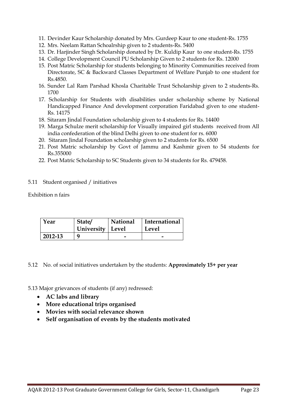- 11. Devinder Kaur Scholarship donated by Mrs. Gurdeep Kaur to one student-Rs. 1755
- 12. Mrs. Neelam Rattan Schoalrship given to 2 students-Rs. 5400
- 13. Dr. Harjinder Singh Scholarship donated by Dr. Kuldip Kaur to one student-Rs. 1755
- 14. College Development Council PU Scholarship Given to 2 students for Rs. 12000
- 15. Post Matric Scholarship for students belonging to Minority Communities received from Directorate, SC & Backward Classes Department of Welfare Punjab to one student for Rs.4850.
- 16. Sunder Lal Ram Parshad Khosla Charitable Trust Scholarship given to 2 students-Rs. 1700
- 17. Scholarship for Students with disabilities under scholarship scheme by National Handicapped Finance And development corporation Faridabad given to one student-Rs. 14175
- 18. Sitaram Jindal Foundation scholarship given to 4 students for Rs. 14400
- 19. Marga Schulze merit scholarship for Visually impaired girl students received from All india confederation of the blind Delhi given to one student for rs. 6000
- 20. Sitaram Jindal Foundation scholarship given to 2 students for Rs. 6500
- 21. Post Matric scholarship by Govt of Jammu and Kashmir given to 54 students for Rs.355000
- 22. Post Matric Scholarship to SC Students given to 34 students for Rs. 479458.

#### 5.11 Student organised / initiatives

Exhibition n fairs

| Year    | State/             | <b>National</b> | International |
|---------|--------------------|-----------------|---------------|
|         | University   Level |                 | Level         |
| 2012-13 | a                  |                 |               |

5.12 No. of social initiatives undertaken by the students: **Approximately 15+ per year**

5.13 Major grievances of students (if any) redressed:

- **AC labs and library**
- **More educational trips organised**
- **Movies with social relevance shown**
- **Self organisation of events by the students motivated**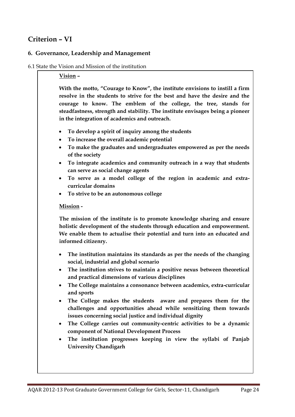### **Criterion – VI**

#### **6. Governance, Leadership and Management**

#### 6.1 State the Vision and Mission of the institution

#### **Vision –**

**With the motto, "Courage to Know", the institute envisions to instill a firm resolve in the students to strive for the best and have the desire and the courage to know. The emblem of the college, the tree, stands for steadfastness, strength and stability. The institute envisages being a pioneer in the integration of academics and outreach.**

- **To develop a spirit of inquiry among the students**
- **To increase the overall academic potential**
- **To make the graduates and undergraduates empowered as per the needs of the society**
- **To integrate academics and community outreach in a way that students can serve as social change agents**
- **To serve as a model college of the region in academic and extracurricular domains**
- **To strive to be an autonomous college**

#### **Mission -**

**The mission of the institute is to promote knowledge sharing and ensure holistic development of the students through education and empowerment. We enable them to actualise their potential and turn into an educated and informed citizenry.**

- **The institution maintains its standards as per the needs of the changing social, industrial and global scenario**
- **The institution strives to maintain a positive nexus between theoretical and practical dimensions of various disciplines**
- **The College maintains a consonance between academics, extra-curricular and sports**
- **The College makes the students aware and prepares them for the challenges and opportunities ahead while sensitizing them towards issues concerning social justice and individual dignity**
- **The College carries out community-centric activities to be a dynamic component of National Development Process**
- **The institution progresses keeping in view the syllabi of Panjab University Chandigarh**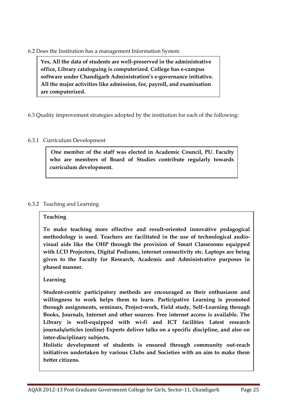#### 6.2 Does the Institution has a management Information System

**Yes, All the data of students are well-preserved in the administrative office, Library cataloguing is computerized. College has e-campus software under Chandigarh Administration's e-governance initiative. All the major activities like admission, fee, payroll, and examination are computerized.**

6.3 Quality improvement strategies adopted by the institution for each of the following:

#### 6.3.1 Curriculum Development

**One member of the staff was elected in Academic Council, PU. Faculty who are members of Board of Studies contribute regularly towards curriculum development.**

#### 6.3.2 Teaching and Learning

#### **Teaching**

**To make teaching more effective and result-oriented innovative pedagogical methodology is used. Teachers are facilitated in the use of technological audiovisual aids like the OHP through the provision of Smart Classrooms equipped with LCD Projectors, Digital Podiums, internet connectivity etc. Laptops are being given to the Faculty for Research, Academic and Administrative purposes in phased manner.** 

#### **Learning**

**Student-centric participatory methods are encouraged as their enthusiasm and willingness to work helps them to learn. Participative Learning is promoted through assignments, seminars, Project-work, Field study, Self–Learning through Books, Journals, Internet and other sources. Free internet access is available. The Library is well-equipped with wi-fi and ICT facilities Latest research journals/articles (online) Experts deliver talks on a specific discipline, and also on inter-disciplinary subjects.**

**Holistic development of students is ensured through community out-reach initiatives undertaken by various Clubs and Societies with an aim to make them better citizens.**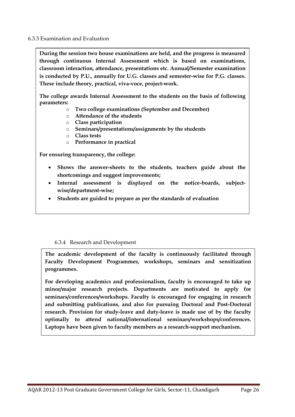6.3.3 Examination and Evaluation

**During the session two house examinations are held, and the progress is measured through continuous Internal Assessment which is based on examinations, classroom interaction, attendance, presentations etc. Annual/Semester examination is conducted by P.U., annually for U.G. classes and semester-wise for P.G. classes. These include theory, practical, viva-voce, project-work.**

**The college awards Internal Assessment to the students on the basis of following parameters:**

- o **Two college examinations (September and December)**
- o **Attendance of the students**
- o **Class participation**
- o **Seminars/presentations/assignments by the students**
- o **Class tests**
- o **Performance in practical**

**For ensuring transparency, the college:**

- **Shows the answer-sheets to the students, teachers guide about the shortcomings and suggest improvements;**
- **Internal assessment is displayed on the notice-boards, subjectwise/department-wise;**
- **Students are guided to prepare as per the standards of evaluation**

#### 6.3.4 Research and Development

**The academic development of the faculty is continuously facilitated through Faculty Development Programmes, workshops, seminars and sensitization programmes.** 

**For developing academics and professionalism, faculty is encouraged to take up minor/major research projects. Departments are motivated to apply for seminars/conferences/workshops. Faculty is encouraged for engaging in research and submitting publications, and also for pursuing Doctoral and Post-Doctoral research. Provision for study-leave and duty-leave is made use of by the faculty optimally to attend national/international seminars/workshops/conferences. Laptops have been given to faculty members as a research-support mechanism.**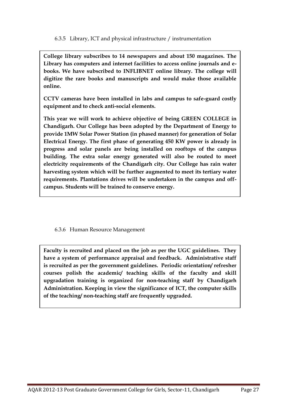6.3.5 Library, ICT and physical infrastructure / instrumentation

**College library subscribes to 14 newspapers and about 150 magazines. The Library has computers and internet facilities to access online journals and ebooks. We have subscribed to INFLIBNET online library. The college will digitize the rare books and manuscripts and would make those available online.**

**CCTV cameras have been installed in labs and campus to safe-guard costly equipment and to check anti-social elements.** 

**This year we will work to achieve objective of being GREEN COLLEGE in Chandigarh. Our College has been adopted by the Department of Energy to provide 1MW Solar Power Station (in phased manner) for generation of Solar Electrical Energy. The first phase of generating 450 KW power is already in progress and solar panels are being installed on rooftops of the campus building. The extra solar energy generated will also be routed to meet electricity requirements of the Chandigarh city. Our College has rain water harvesting system which will be further augmented to meet its tertiary water requirements. Plantations drives will be undertaken in the campus and offcampus. Students will be trained to conserve energy.**

6.3.6 Human Resource Management

**Faculty is recruited and placed on the job as per the UGC guidelines. They have a system of performance appraisal and feedback. Administrative staff is recruited as per the government guidelines. Periodic orientation/ refresher courses polish the academic/ teaching skills of the faculty and skill upgradation training is organized for non-teaching staff by Chandigarh Administration. Keeping in view the significance of ICT, the computer skills of the teaching/ non-teaching staff are frequently upgraded.**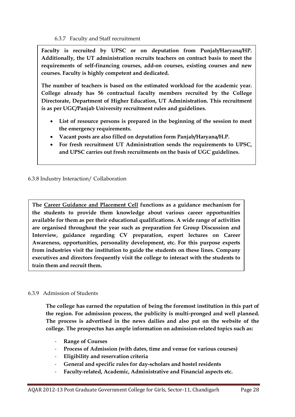6.3.7 Faculty and Staff recruitment

**Faculty is recruited by UPSC or on deputation from Punjab/Haryana/HP. Additionally, the UT administration recruits teachers on contract basis to meet the requirements of self-financing courses, add-on courses, existing courses and new courses. Faculty is highly competent and dedicated.** 

**The number of teachers is based on the estimated workload for the academic year. College already has 56 contractual faculty members recruited by the College Directorate, Department of Higher Education, UT Administration. This recruitment is as per UGC/Panjab University recruitment rules and guidelines.**

- **List of resource persons is prepared in the beginning of the session to meet the emergency requirements.**
- **Vacant posts are also filled on deputation form Panjab/Haryana/H.P.**
- **For fresh recruitment UT Administration sends the requirements to UPSC, and UPSC carries out fresh recruitments on the basis of UGC guidelines.**

6.3.8 Industry Interaction/ Collaboration

The Career Guidance and Placement Cell functions as a guidance mechanism for **the students to provide them knowledge about various career opportunities available for them as per their educational qualifications. A wide range of activities are organised throughout the year such as preparation for Group Discussion and Interview, guidance regarding CV preparation, expert lectures on Career Awareness, opportunities, personality development, etc. For this purpose experts from industries visit the institution to guide the students on these lines. Company executives and directors frequently visit the college to interact with the students to train them and recruit them.**

#### 6.3.9 Admission of Students

**The college has earned the reputation of being the foremost institution in this part of the region. For admission process, the publicity is multi-pronged and well planned. The process is advertised in the news dailies and also put on the website of the college. The prospectus has ample information on admission-related topics such as:**

- **Range of Courses**
- **Process of Admission (with dates, time and venue for various courses)**
- **Eligibility and reservation criteria**
- **General and specific rules for day-scholars and hostel residents**
- **Faculty-related, Academic, Administrative and Financial aspects etc.**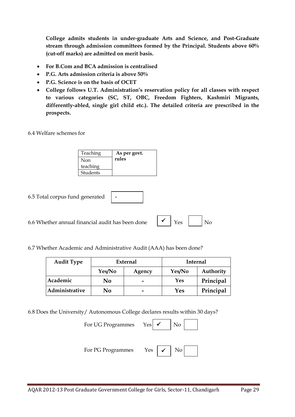**College admits students in under-graduate Arts and Science, and Post-Graduate stream through admission committees formed by the Principal. Students above 60% (cut-off marks) are admitted on merit basis.**

- **For B.Com and BCA admission is centralised**
- **P.G. Arts admission criteria is above 50%**
- **P.G. Science is on the basis of OCET**
- **College follows U.T. Administration's reservation policy for all classes with respect to various categories (SC, ST, OBC, Freedom Fighters, Kashmiri Migrants, differently-abled, single girl child etc.). The detailed criteria are prescribed in the prospects.**

6.4 Welfare schemes for

| Teaching | As per govt. |
|----------|--------------|
| Non      | rules        |
| teaching |              |
| Students |              |

**-**

6.5 Total corpus fund generated

6.6 Whether annual financial audit has been done

| N <sub>0</sub><br>Yes |
|-----------------------|
|-----------------------|

6.7 Whether Academic and Administrative Audit (AAA) has been done?

| <b>Audit Type</b> | External         |   | <b>Internal</b> |           |
|-------------------|------------------|---|-----------------|-----------|
|                   | Yes/No<br>Agency |   | Yes/No          | Authority |
| Academic          | No               | - | Yes             | Principal |
| Administrative    | No               | - | Yes             | Principal |

6.8 Does the University/ Autonomous College declares results within 30 days?

| For UG Programmes Yes |                                       |
|-----------------------|---------------------------------------|
| For PG Programmes     | $\checkmark$<br>N <sub>o</sub><br>Yes |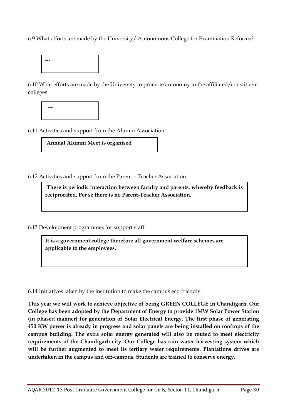6.9 What efforts are made by the University/ Autonomous College for Examination Reforms?



6.10 What efforts are made by the University to promote autonomy in the affiliated/constituent colleges



6.11 Activities and support from the Alumni Association

**Annual Alumni Meet is organised**

6.12 Activities and support from the Parent – Teacher Association

**There is periodic interaction between faculty and parents, whereby feedback is reciprocated. Per se there is no Parent-Teacher Association.**

6.13 Development programmes for support staff

**It is a government college therefore all government welfare schemes are applicable to the employees.** 

6.14 Initiatives taken by the institution to make the campus eco-friendly

**This year we will work to achieve objective of being GREEN COLLEGE in Chandigarh. Our College has been adopted by the Department of Energy to provide 1MW Solar Power Station (in phased manner) for generation of Solar Electrical Energy. The first phase of generating 450 KW power is already in progress and solar panels are being installed on rooftops of the campus building. The extra solar energy generated will also be routed to meet electricity requirements of the Chandigarh city. Our College has rain water harvesting system which will be further augmented to meet its tertiary water requirements. Plantations drives are undertaken in the campus and off-campus. Students are traine**d **to conserve energy.**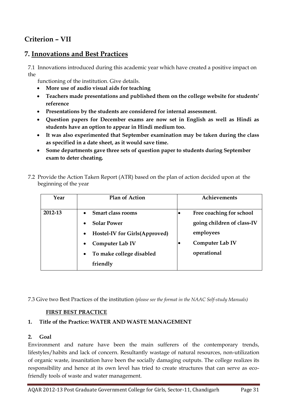### **Criterion – VII**

### **7. Innovations and Best Practices**

7.1 Innovations introduced during this academic year which have created a positive impact on the

functioning of the institution. Give details.

- **More use of audio visual aids for teaching**
- **Teachers made presentations and published them on the college website for students' reference**
- **Presentations by the students are considered for internal assessment.**
- **Question papers for December exams are now set in English as well as Hindi as students have an option to appear in Hindi medium too.**
- **It was also experimented that September examination may be taken during the class as specified in a date sheet, as it would save time.**
- **Some departments gave three sets of question paper to students during September exam to deter cheating.**

| Year    | <b>Plan of Action</b>                                                                                                                                                                                  | <b>Achievements</b>                                                                                   |
|---------|--------------------------------------------------------------------------------------------------------------------------------------------------------------------------------------------------------|-------------------------------------------------------------------------------------------------------|
| 2012-13 | <b>Smart class rooms</b><br><b>Solar Power</b><br>$\bullet$<br><b>Hostel-IV for Girls (Approved)</b><br>$\bullet$<br>Computer Lab IV<br>$\bullet$<br>To make college disabled<br>$\bullet$<br>friendly | Free coaching for school<br>going children of class-IV<br>employees<br>Computer Lab IV<br>operational |

7.2 Provide the Action Taken Report (ATR) based on the plan of action decided upon at the beginning of the year

7.3 Give two Best Practices of the institution *(please see the format in the NAAC Self-study Manuals)*

#### **FIRST BEST PRACTICE**

#### **1. Title of the Practice: WATER AND WASTE MANAGEMENT**

#### **2. Goal**

Environment and nature have been the main sufferers of the contemporary trends, lifestyles/habits and lack of concern. Resultantly wastage of natural resources, non-utilization of organic waste, insanitation have been the socially damaging outputs. The college realizes its responsibility and hence at its own level has tried to create structures that can serve as ecofriendly tools of waste and water management.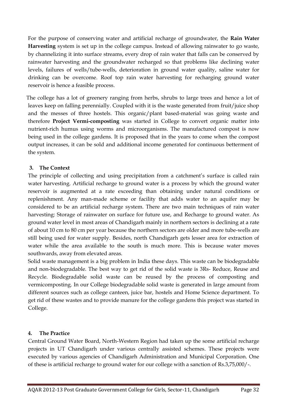For the purpose of conserving water and artificial recharge of groundwater, the **Rain Water Harvesting** system is set up in the college campus. Instead of allowing rainwater to go waste, by channelizing it into surface streams, every drop of rain water that falls can be conserved by rainwater harvesting and the groundwater recharged so that problems like declining water levels, failures of wells/tube-wells, deterioration in ground water quality, saline water for drinking can be overcome. Roof top rain water harvesting for recharging ground water reservoir is hence a feasible process.

 The college has a lot of greenery ranging from herbs, shrubs to large trees and hence a lot of leaves keep on falling perennially. Coupled with it is the waste generated from fruit/juice shop and the messes of three hostels. This organic/plant based-material was going waste and therefore **Project Vermi-composting** was started in College to convert organic matter into nutrient-rich humus using worms and microorganisms. The manufactured compost is now being used in the college gardens. It is proposed that in the years to come when the compost output increases, it can be sold and additional income generated for continuous betterment of the system.

#### **3. The Context**

The principle of collecting and using precipitation from a catchment's surface is called rain water harvesting. Artificial recharge to ground water is a process by which the ground water reservoir is augmented at a rate exceeding than obtaining under natural conditions or replenishment. Any man-made scheme or facility that adds water to an aquifer may be considered to be an artificial recharge system. There are two main techniques of rain water harvesting: Storage of rainwater on surface for future use, and Recharge to ground water. As ground water level in most areas of Chandigarh mainly in northern sectors is declining at a rate of about 10 cm to 80 cm per year because the northern sectors are older and more tube-wells are still being used for water supply. Besides, north Chandigarh gets lesser area for extraction of water while the area available to the south is much more. This is because water moves southwards, away from elevated areas.

Solid waste management is a big problem in India these days. This waste can be biodegradable and non-biodegradable. The best way to get rid of the solid waste is 3Rs- Reduce, Reuse and Recycle. Biodegradable solid waste can be reused by the process of composting and vermicomposting. In our College biodegradable solid waste is generated in large amount from different sources such as college canteen, juice bar, hostels and Home Science department. To get rid of these wastes and to provide manure for the college gardens this project was started in College.

#### **4. The Practice**

Central Ground Water Board, North-Western Region had taken up the some artificial recharge projects in UT Chandigarh under various centrally assisted schemes. These projects were executed by various agencies of Chandigarh Administration and Municipal Corporation. One of these is artificial recharge to ground water for our college with a sanction of Rs.3,75,000/-.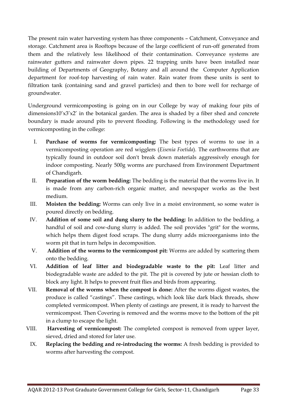The present rain water harvesting system has three components – Catchment, Conveyance and storage. Catchment area is Rooftops because of the large coefficient of run-off generated from them and the relatively less likelihood of their contamination. Conveyance systems are rainwater gutters and rainwater down pipes. 22 trapping units have been installed near building of Departments of Geography, Botany and all around the Computer Application department for roof-top harvesting of rain water. Rain water from these units is sent to filtration tank (containing sand and gravel particles) and then to bore well for recharge of groundwater.

Underground vermicomposting is going on in our College by way of making four pits of dimensions10'x3'x2' in the botanical garden. The area is shaded by a fiber shed and concrete boundary is made around pits to prevent flooding. Following is the methodology used for vermicomposting in the college:

- I. **Purchase of worms for vermicomposting:** The best types of worms to use in a vermicomposting operation are red wigglers (*Eisenia Foetida*). The earthworms that are typically found in outdoor soil don't break down materials aggressively enough for indoor composting. Nearly 500g worms are purchased from Environment Department of Chandigarh.
- II. **Preparation of the worm bedding:** The bedding is the material that the worms live in. It is made from any carbon-rich organic matter, and newspaper works as the best medium.
- III. **Moisten the bedding:** Worms can only live in a moist environment, so some water is poured directly on bedding.
- IV. **Addition of some soil and dung slurry to the bedding:** In addition to the bedding, a handful of soil and cow-dung slurry is added. The soil provides "grit" for the worms, which helps them digest food scraps. The dung slurry adds microorganisms into the worm pit that in turn helps in decomposition.
- V. **Addition of the worms to the vermicompost pit:** Worms are added by scattering them onto the bedding.
- VI. **Addition of leaf litter and biodegradable waste to the pit:** Leaf litter and biodegradable waste are added to the pit. The pit is covered by jute or hessian cloth to block any light. It helps to prevent fruit flies and birds from appearing.
- VII. **Removal of the worms when the compost is done:** After the worms digest wastes, the produce is called "castings". These castings, which look like dark black threads, show completed vermicompost. When plenty of castings are present, it is ready to harvest the vermicompost. Then Covering is removed and the worms move to the bottom of the pit in a clump to escape the light.
- VIII. **Harvesting of vermicompost:** The completed compost is removed from upper layer, sieved, dried and stored for later use.
- IX. **Replacing the bedding and re-introducing the worms:** A fresh bedding is provided to worms after harvesting the compost.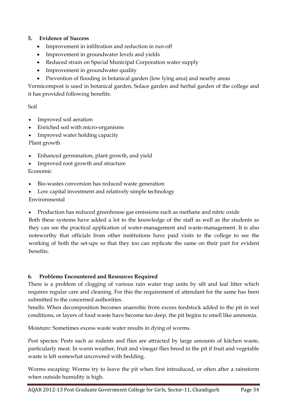#### **5. Evidence of Success**

- Improvement in infiltration and reduction in run-off
- Improvement in groundwater levels and yields
- Reduced strain on Special Municipal Corporation water supply
- Improvement in groundwater quality
- Prevention of flooding in botanical garden (low lying area) and nearby areas

Vermicompost is used in botanical garden, Solace garden and herbal garden of the college and it has provided following benefits:

#### Soil

- Improved soil aeration
- Enriched soil with micro-organisms
- Improved water holding capacity

Plant growth

- Enhanced germination, plant growth, and yield
- Improved root growth and structure

#### Economic

- Bio-wastes conversion has reduced waste generation
- Low capital investment and relatively simple technology

#### Environmental

Production has reduced greenhouse gas emissions such as methane and nitric oxide

Both these systems have added a lot to the knowledge of the staff as well as the students as they can see the practical application of water-management and waste-management. It is also noteworthy that officials from other institutions have paid visits to the college to see the working of both the set-ups so that they too can replicate the same on their part for evident benefits.

#### **6. Problems Encountered and Resources Required**

There is a problem of clogging of various rain water trap units by silt and leaf litter which requires regular care and cleaning. For this the requirement of attendant for the same has been submitted to the concerned authorities.

Smells: When decomposition becomes anaerobic from excess feedstock added to the pit in wet conditions, or layers of food waste have become too deep, the pit begins to smell like ammonia.

Moisture: Sometimes excess waste water results in dying of worms.

Pest species: Pests such as rodents and flies are attracted by large amounts of kitchen waste, particularly meat. In warm weather, fruit and vinegar flies breed in the pit if fruit and vegetable waste is left somewhat uncovered with bedding.

Worms escaping: Worms try to leave the pit when first introduced, or often after a rainstorm when outside humidity is high.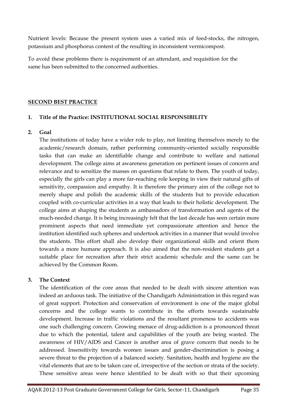Nutrient levels: Because the present system uses a varied mix of feed-stocks, the nitrogen, potassium and phosphorus content of the resulting in inconsistent vermicompost.

To avoid these problems there is requirement of an attendant, and requisition for the same has been submitted to the concerned authorities.

#### **SECOND BEST PRACTICE**

#### **1. Title of the Practice: INSTITUTIONAL SOCIAL RESPONSIBILITY**

#### **2. Goal**

The institutions of today have a wider role to play, not limiting themselves merely to the academic/research domain, rather performing community-oriented socially responsible tasks that can make an identifiable change and contribute to welfare and national development. The college aims at awareness generation on pertinent issues of concern and relevance and to sensitize the masses on questions that relate to them. The youth of today, especially the girls can play a more far-reaching role keeping in view their natural gifts of sensitivity, compassion and empathy. It is therefore the primary aim of the college not to merely shape and polish the academic skills of the students but to provide education coupled with co-curricular activities in a way that leads to their holistic development. The college aims at shaping the students as ambassadors of transformation and agents of the much-needed change. It is being increasingly felt that the last decade has seen certain more prominent aspects that need immediate yet compassionate attention and hence the institution identified such spheres and undertook activities in a manner that would involve the students. This effort shall also develop their organizational skills and orient them towards a more humane approach. It is also aimed that the non-resident students get a suitable place for recreation after their strict academic schedule and the same can be achieved by the Common Room.

#### **3. The Context**

The identification of the core areas that needed to be dealt with sincere attention was indeed an arduous task. The initiative of the Chandigarh Administration in this regard was of great support. Protection and conservation of environment is one of the major global concerns and the college wants to contribute in the efforts towards sustainable development. Increase in traffic violations and the resultant proneness to accidents was one such challenging concern. Growing menace of drug-addiction is a pronounced threat due to which the potential, talent and capabilities of the youth are being wasted. The awareness of HIV/AIDS and Cancer is another area of grave concern that needs to be addressed. Insensitivity towards women issues and gender-discrimination is posing a severe threat to the projection of a balanced society. Sanitation, health and hygiene are the vital elements that are to be taken care of, irrespective of the section or strata of the society. These sensitive areas were hence identified to be dealt with so that their upcoming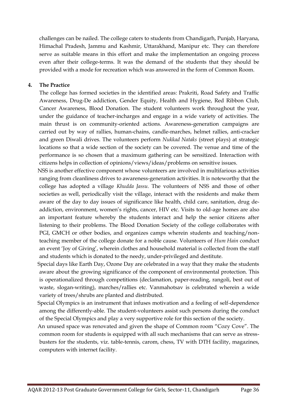challenges can be nailed. The college caters to students from Chandigarh, Punjab, Haryana, Himachal Pradesh, Jammu and Kashmir, Uttarakhand, Manipur etc. They can therefore serve as suitable means in this effort and make the implementation an ongoing process even after their college-terms. It was the demand of the students that they should be provided with a mode for recreation which was answered in the form of Common Room.

#### **4. The Practice**

The college has formed societies in the identified areas: Prakriti, Road Safety and Traffic Awareness, Drug-De addiction, Gender Equity, Health and Hygiene, Red Ribbon Club, Cancer Awareness, Blood Donation. The student volunteers work throughout the year, under the guidance of teacher-incharges and engage in a wide variety of activities. The main thrust is on community-oriented actions. Awareness-generation campaigns are carried out by way of rallies, human-chains, candle-marches, helmet rallies, anti-cracker and green Diwali drives. The volunteers perform *Nukkad Nataks* (street plays) at strategic locations so that a wide section of the society can be covered. The venue and time of the performance is so chosen that a maximum gathering can be sensitized. Interaction with citizens helps in collection of opinions/views/ideas/problems on sensitive issues.

 NSS is another effective component whose volunteers are involved in multifarious activities ranging from cleanliness drives to awareness-generation activities. It is noteworthy that the college has adopted a village *Khudda Jassu.* The volunteers of NSS and those of other societies as well, periodically visit the village, interact with the residents and make them aware of the day to day issues of significance like health, child care, sanitation, drug deaddiction, environment, women's rights, cancer, HIV etc. Visits to old-age homes are also an important feature whereby the students interact and help the senior citizens after listening to their problems. The Blood Donation Society of the college collaborates with PGI, GMCH or other bodies, and organizes camps wherein students and teaching/nonteaching member of the college donate for a noble cause. Volunteers of *Hum Hain* conduct an event 'Joy of Giving', wherein clothes and household material is collected from the staff and students which is donated to the needy, under-privileged and destitute.

 Special days like Earth Day, Ozone Day are celebrated in a way that they make the students aware about the growing significance of the component of environmental protection. This is operationalized through competitions (declamation, paper-reading, rangoli, best out of waste, slogan-writing), marches/rallies etc. Vanmahotsav is celebrated wherein a wide variety of trees/shrubs are planted and distributed.

 Special Olympics is an instrument that infuses motivation and a feeling of self-dependence among the differently-able. The student-volunteers assist such persons during the conduct of the Special Olympics and play a very supportive role for this section of the society.

 An unused space was renovated and given the shape of Common room "Cozy Cove". The common room for students is equipped with all such mechanisms that can serve as stressbusters for the students, viz. table-tennis, carom, chess, TV with DTH facility, magazines, computers with internet facility.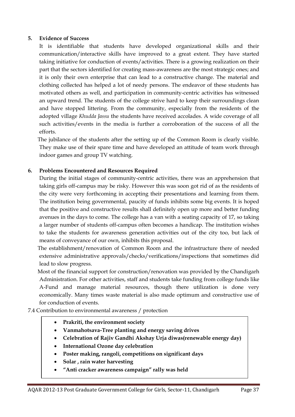#### **5. Evidence of Success**

It is identifiable that students have developed organizational skills and their communication/interactive skills have improved to a great extent. They have started taking initiative for conduction of events/activities. There is a growing realization on their part that the sectors identified for creating mass-awareness are the most strategic ones; and it is only their own enterprise that can lead to a constructive change. The material and clothing collected has helped a lot of needy persons. The endeavor of these students has motivated others as well, and participation in community-centric activities has witnessed an upward trend. The students of the college strive hard to keep their surroundings clean and have stopped littering. From the community, especially from the residents of the adopted village *Khudda Jassu* the students have received accolades. A wide coverage of all such activities/events in the media is further a corroboration of the success of all the efforts.

 The jubilance of the students after the setting up of the Common Room is clearly visible. They make use of their spare time and have developed an attitude of team work through indoor games and group TV watching.

#### **6. Problems Encountered and Resources Required**

During the initial stages of community-centric activities, there was an apprehension that taking girls off-campus may be risky. However this was soon got rid of as the residents of the city were very forthcoming in accepting their presentations and learning from them. The institution being governmental, paucity of funds inhibits some big events. It is hoped that the positive and constructive results shall definitely open up more and better funding avenues in the days to come. The college has a van with a seating capacity of 17, so taking a larger number of students off-campus often becomes a handicap. The institution wishes to take the students for awareness generation activities out of the city too, but lack of means of conveyance of our own, inhibits this proposal.

 The establishment/renovation of Common Room and the infrastructure there of needed extensive administrative approvals/checks/verifications/inspections that sometimes did lead to slow progress.

 Most of the financial support for construction/renovation was provided by the Chandigarh Administration. For other activities, staff and students take funding from college funds like A-Fund and manage material resources, though there utilization is done very economically. Many times waste material is also made optimum and constructive use of for conduction of events.

7.4 Contribution to environmental awareness / protection

- **Prakriti, the environment society**
- **Vanmahotsava-Tree planting and energy saving drives**
- **Celebration of Rajiv Gandhi Akshay Urja diwas(renewable energy day)**
- **International Ozone day celebration**
- **Poster making, rangoli, competitions on significant days**
- **Solar , rain water harvesting**
- **"Anti cracker awareness campaign" rally was held**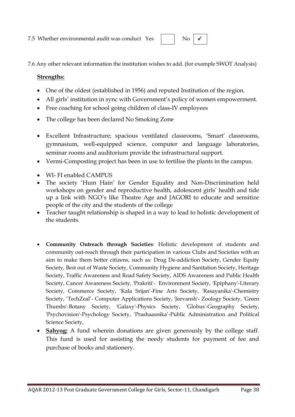No  $\sqrt{\phantom{a}}$ 

7.6 Any other relevant information the institution wishes to add. (for example SWOT Analysis)

#### **Strengths:**

- One of the oldest (established in 1956) and reputed Institution of the region.
- All girls' institution in sync with Government's policy of women empowerment.
- Free coaching for school going children of class-IV employees
- The college has been declared No Smoking Zone
- Excellent Infrastructure; spacious ventilated classrooms, 'Smart' classrooms, gymnasium, well-equipped science, computer and language laboratories, seminar rooms and auditorium provide the infrastructural support.
- Vermi-Composting project has been in use to fertilise the plants in the campus.
- WI- FI enabled CAMPUS
- The society 'Hum Hain' for Gender Equality and Non-Discrimination held workshops on gender and reproductive health, adolescent girls' health and tide up a link with NGO's like Theatre Age and JAGORI to educate and sensitize people of the city and the students of the college
- Teacher taught relationship is shaped in a way to lead to holistic development of the students.
- **Community Outreach through Societies**: Holistic development of students and community out-reach through their participation in various Clubs and Societies with an aim to make them better citizens, such as: Drug De-addiction Society, Gender Equity Society, Best out of Waste Society, Community Hygiene and Sanitation Society, Heritage Society, Traffic Awareness and Road Safety Society, AIDS Awareness and Public Health Society, Cancer Awareness Society, 'Prakriti'- Environment Society, 'Epiphany'-Literary Society, Commerce Society, 'Kala Srijan'-Fine Arts Society, 'Rasayanika'-Chemistry Society, 'TechZeal'- Computer Applications Society, 'Jeevansh'- Zoology Society, 'Green Thumbs'-Botany Society, 'Galaxy'-Physics Society, 'Globus'-Geography Society, 'Psychovision'-Psychology Society, 'Prashaasnika'-Public Administration and Political Science Society,
- **Sahyog:** A fund wherein donations are given generously by the college staff. This fund is used for assisting the needy students for payment of fee and purchase of books and stationery.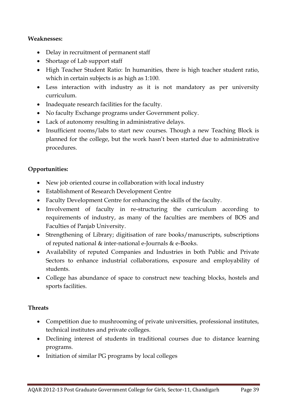#### **Weaknesses:**

- Delay in recruitment of permanent staff
- Shortage of Lab support staff
- High Teacher Student Ratio: In humanities, there is high teacher student ratio, which in certain subjects is as high as 1:100.
- Less interaction with industry as it is not mandatory as per university curriculum.
- Inadequate research facilities for the faculty.
- No faculty Exchange programs under Government policy.
- Lack of autonomy resulting in administrative delays.
- Insufficient rooms/labs to start new courses. Though a new Teaching Block is planned for the college, but the work hasn't been started due to administrative procedures.

#### **Opportunities:**

- New job oriented course in collaboration with local industry
- Establishment of Research Development Centre
- Faculty Development Centre for enhancing the skills of the faculty.
- Involvement of faculty in re-structuring the curriculum according to requirements of industry, as many of the faculties are members of BOS and Faculties of Panjab University.
- Strengthening of Library; digitisation of rare books/manuscripts, subscriptions of reputed national & inter-national e-Journals & e-Books.
- Availability of reputed Companies and Industries in both Public and Private Sectors to enhance industrial collaborations, exposure and employability of students.
- College has abundance of space to construct new teaching blocks, hostels and sports facilities.

#### **Threats**

- Competition due to mushrooming of private universities, professional institutes, technical institutes and private colleges.
- Declining interest of students in traditional courses due to distance learning programs.
- Initiation of similar PG programs by local colleges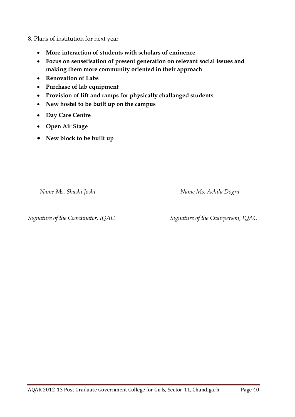#### 8. Plans of institution for next year

- **More interaction of students with scholars of eminence**
- **Focus on sensetisation of present generation on relevant social issues and making them more community oriented in their approach**
- **Renovation of Labs**
- **Purchase of lab equipment**
- **Provision of lift and ramps for physically challanged students**
- **New hostel to be built up on the campus**
- **Day Care Centre**
- **Open Air Stage**
- **New block to be built up**

 *Name Ms. Shashi Joshi Name Ms. Achila Dogra*

*Signature of the Coordinator, IQAC Signature of the Chairperson, IQAC*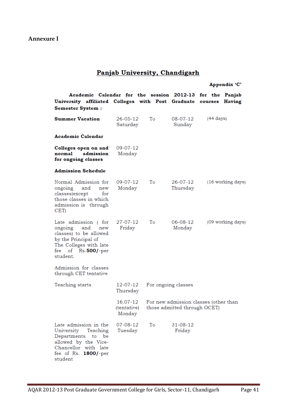#### Panjab University, Chandigarh

#### Appendix 'C'

Academic Calendar for the session 2012-13 for the Panjab University affiliated Colleges with Post Graduate courses Having Semester System :

| <b>Summer Vacation</b>                                                                                                                                           | 26-05-12<br>Saturday              | Тo | 08-07-12<br>Sunday                                                    | (44 days)         |
|------------------------------------------------------------------------------------------------------------------------------------------------------------------|-----------------------------------|----|-----------------------------------------------------------------------|-------------------|
| Academic Calendar                                                                                                                                                |                                   |    |                                                                       |                   |
| Colleges open on and<br>admission<br>normal<br>for ongoing classes                                                                                               | 09-07-12<br>Monday                |    |                                                                       |                   |
| <b>Admission Schedule</b>                                                                                                                                        |                                   |    |                                                                       |                   |
| Normal Admission for<br>ongoing and<br>new<br>classes(except<br>for<br>those classes in which<br>admission is through<br>CET)                                    | $09 - 07 - 12$<br>Monday          | Тo | 26-07-12<br>Thursday                                                  | (16 working days) |
| Late admission (for<br>ongoing and new<br>classes) to be allowed<br>by the Principal of<br>The Colleges with late<br>fee of Rs.500/-per<br>student.              | 27-07-12<br>Friday                | Tо | 06-08-12<br>Monday                                                    | (09 working days) |
| Admission for classes<br>through CET tentative                                                                                                                   |                                   |    |                                                                       |                   |
| Teaching starts                                                                                                                                                  | 12-07-12<br>Thursday              |    | For ongoing classes                                                   |                   |
|                                                                                                                                                                  | 16.07-12<br>(tentative)<br>Monday |    | For new admission classes (other than<br>those admitted through OCET) |                   |
| Late admission in the<br>University Teaching<br>Departments<br>to<br>be<br>allowed by the Vice-<br>Chancellor with late<br>fee of Rs.<br>$1800$ /-per<br>student | 07-08-12<br>Tuesday               | Тo | 31-08-12<br>Friday                                                    |                   |